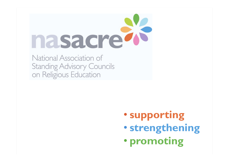

National Association of **Standing Advisory Councils** on Religious Education

- **supporting**
- **strengthening**
- **promoting**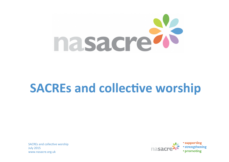

## **SACREs and collective worship**

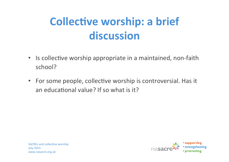## **Collective worship: a brief discussion**

- Is collective worship appropriate in a maintained, non-faith school?
- For some people, collective worship is controversial. Has it an educational value? If so what is it?



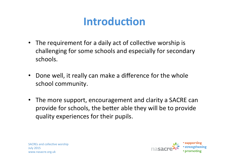#### **Introduction**

- The requirement for a daily act of collective worship is challenging for some schools and especially for secondary schools.
- Done well, it really can make a difference for the whole school community.
- The more support, encouragement and clarity a SACRE can provide for schools, the better able they will be to provide quality experiences for their pupils.

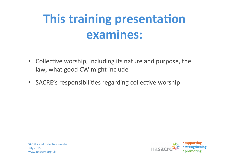# **This training presentation examines:**

- Collective worship, including its nature and purpose, the law, what good CW might include
- SACRE's responsibilities regarding collective worship

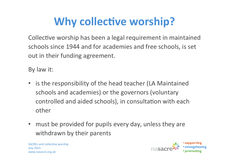# **Why collective worship?**

Collective worship has been a legal requirement in maintained schools since 1944 and for academies and free schools, is set out in their funding agreement.

By law it:

- is the responsibility of the head teacher (LA Maintained schools and academies) or the governors (voluntary controlled and aided schools), in consultation with each other
- must be provided for pupils every day, unless they are withdrawn by their parents

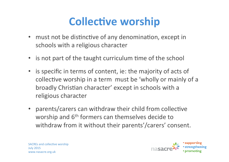## **Collective worship**

- must not be distinctive of any denomination, except in schools with a religious character
- is not part of the taught curriculum time of the school
- is specific in terms of content, ie: the majority of acts of collective worship in a term must be 'wholly or mainly of a broadly Christian character' except in schools with a religious character
- parents/carers can withdraw their child from collective worship and  $6<sup>th</sup>$  formers can themselves decide to withdraw from it without their parents'/carers' consent.



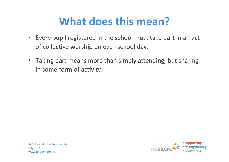## **What does this mean?**

- Every pupil registered in the school must take part in an act of collective worship on each school day.
- Taking part means more than simply attending, but sharing in some form of activity.

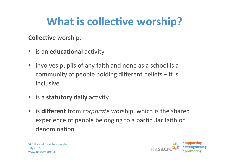## **What is collective worship?**

**Collective** worship:

- is an **educational** activity
- involves pupils of any faith and none as a school is a community of people holding different beliefs  $-$  it is inclusive
- is a statutory daily activity
- is **different** from *corporate* worship, which is the shared experience of people belonging to a particular faith or denomination

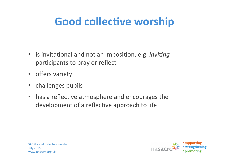## **Good collective worship**

- is invitational and not an imposition, e.g. *inviting* participants to pray or reflect
- offers variety
- challenges pupils
- has a reflective atmosphere and encourages the development of a reflective approach to life

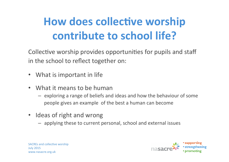# **How does collective worship contribute to school life?**

Collective worship provides opportunities for pupils and staff in the school to reflect together on:

- What is important in life
- What it means to be human
	- $-$  exploring a range of beliefs and ideas and how the behaviour of some people gives an example of the best a human can become
- Ideas of right and wrong
	- $-$  applying these to current personal, school and external issues



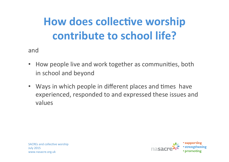# **How does collective worship contribute to school life?**

and 

- How people live and work together as communities, both in school and beyond
- Ways in which people in different places and times have experienced, responded to and expressed these issues and values

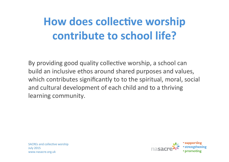## **How does collective worship contribute to school life?**

By providing good quality collective worship, a school can build an inclusive ethos around shared purposes and values, which contributes significantly to to the spiritual, moral, social and cultural development of each child and to a thriving learning community.



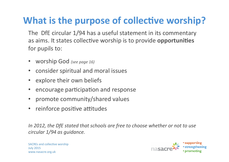#### **What is the purpose of collective worship?**

- The DfE circular 1/94 has a useful statement in its commentary as aims. It states collective worship is to provide **opportunities** for pupils to:
- worship God *(see page 16)*
- consider spiritual and moral issues
- explore their own beliefs
- encourage participation and response
- promote community/shared values
- reinforce positive attitudes

*In* 2012, the DfE stated that schools are free to choose whether or not to use circular  $1/94$  as guidance.

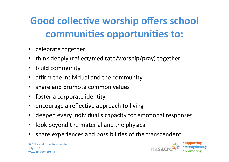#### **Good collective worship offers school** communities opportunities to:

- celebrate together
- think deeply (reflect/meditate/worship/pray) together
- build community
- affirm the individual and the community
- share and promote common values
- foster a corporate identity
- encourage a reflective approach to living
- deepen every individual's capacity for emotional responses
- look beyond the material and the physical
- share experiences and possibilities of the transcendent

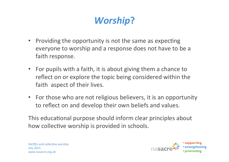#### *Worship***?**

- Providing the opportunity is not the same as expecting everyone to worship and a response does not have to be a faith response.
- For pupils with a faith, it is about giving them a chance to reflect on or explore the topic being considered within the faith aspect of their lives.
- For those who are not religious believers, it is an opportunity to reflect on and develop their own beliefs and values.

This educational purpose should inform clear principles about how collective worship is provided in schools.

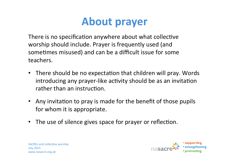### **About prayer**

There is no specification anywhere about what collective worship should include. Prayer is frequently used (and sometimes misused) and can be a difficult issue for some teachers.

- There should be no expectation that children will pray. Words introducing any prayer-like activity should be as an invitation rather than an instruction.
- Any invitation to pray is made for the benefit of those pupils for whom it is appropriate.
- The use of silence gives space for prayer or reflection.

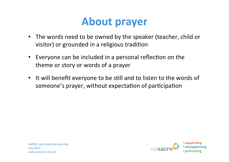#### **About prayer**

- The words need to be owned by the speaker (teacher, child or visitor) or grounded in a religious tradition
- Everyone can be included in a personal reflection on the theme or story or words of a prayer
- It will benefit everyone to be still and to listen to the words of someone's prayer, without expectation of participation

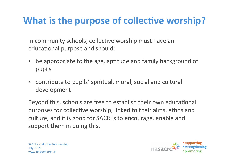#### **What is the purpose of collective worship?**

In community schools, collective worship must have an educational purpose and should:

- be appropriate to the age, aptitude and family background of pupils
- contribute to pupils' spiritual, moral, social and cultural development

Beyond this, schools are free to establish their own educational purposes for collective worship, linked to their aims, ethos and culture, and it is good for SACREs to encourage, enable and support them in doing this.

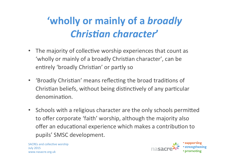#### **'wholly or mainly of a broadly Christian character**

- The majority of collective worship experiences that count as 'wholly or mainly of a broadly Christian character', can be entirely 'broadly Christian' or partly so
- 'Broadly Christian' means reflecting the broad traditions of Christian beliefs, without being distinctively of any particular denomination.
- Schools with a religious character are the only schools permitted to offer corporate 'faith' worship, although the majority also offer an educational experience which makes a contribution to pupils' SMSC development.

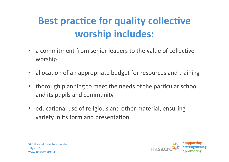#### **Best practice for quality collective worship includes:**

- a commitment from senior leaders to the value of collective worship
- allocation of an appropriate budget for resources and training
- thorough planning to meet the needs of the particular school and its pupils and community
- educational use of religious and other material, ensuring variety in its form and presentation



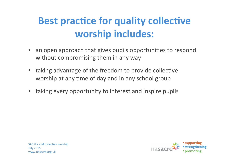#### **Best practice for quality collective worship includes:**

- an open approach that gives pupils opportunities to respond without compromising them in any way
- taking advantage of the freedom to provide collective worship at any time of day and in any school group
- taking every opportunity to interest and inspire pupils



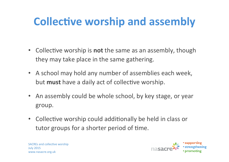## **Collective worship and assembly**

- Collective worship is **not** the same as an assembly, though they may take place in the same gathering.
- A school may hold any number of assemblies each week, but **must** have a daily act of collective worship.
- An assembly could be whole school, by key stage, or year group.
- Collective worship could additionally be held in class or tutor groups for a shorter period of time.



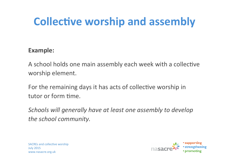## **Collective worship and assembly**

#### **Example:**

A school holds one main assembly each week with a collective worship element.

For the remaining days it has acts of collective worship in tutor or form time.

*Schools* will generally have at least one assembly to develop the school community.

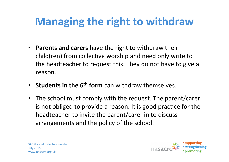## **Managing the right to withdraw**

- **Parents and carers** have the right to withdraw their child(ren) from collective worship and need only write to the headteacher to request this. They do not have to give a reason.
- **Students in the 6<sup>th</sup> form** can withdraw themselves.
- The school must comply with the request. The parent/carer is not obliged to provide a reason. It is good practice for the headteacher to invite the parent/carer in to discuss arrangements and the policy of the school.



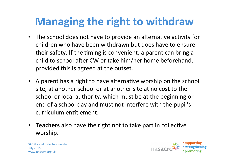## **Managing the right to withdraw**

- The school does not have to provide an alternative activity for children who have been withdrawn but does have to ensure their safety. If the timing is convenient, a parent can bring a child to school after CW or take him/her home beforehand, provided this is agreed at the outset.
- A parent has a right to have alternative worship on the school site, at another school or at another site at no cost to the school or local authority, which must be at the beginning or end of a school day and must not interfere with the pupil's curriculum entitlement.
- Teachers also have the right not to take part in collective worship.



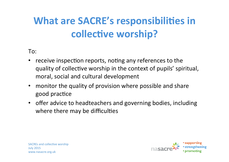#### **What are SACRE's responsibilities in collective worship?**

To: 

- receive inspection reports, noting any references to the quality of collective worship in the context of pupils' spiritual, moral, social and cultural development
- monitor the quality of provision where possible and share good practice
- offer advice to headteachers and governing bodies, including where there may be difficulties

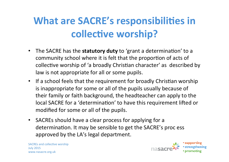#### **What are SACRE's responsibilities in collective worship?**

- The SACRE has the statutory duty to 'grant a determination' to a community school where it is felt that the proportion of acts of collective worship of 'a broadly Christian character' as described by law is not appropriate for all or some pupils.
- If a school feels that the requirement for broadly Christian worship is inappropriate for some or all of the pupils usually because of their family or faith background, the headteacher can apply to the local SACRE for a 'determination' to have this requirement lifted or modified for some or all of the pupils.
- SACREs should have a clear process for applying for a determination. It may be sensible to get the SACRE's proc ess approved by the LA's legal department.

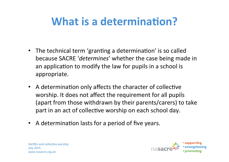## **What is a determination?**

- The technical term 'granting a determination' is so called because SACRE '*determines'* whether the case being made in an application to modify the law for pupils in a school is appropriate.
- A determination only affects the character of collective worship. It does not affect the requirement for all pupils (apart from those withdrawn by their parents/carers) to take part in an act of collective worship on each school day.
- A determination lasts for a period of five years.



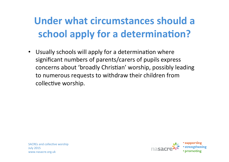#### **Under what circumstances should a school apply for a determination?**

• Usually schools will apply for a determination where significant numbers of parents/carers of pupils express concerns about 'broadly Christian' worship, possibly leading to numerous requests to withdraw their children from collective worship.

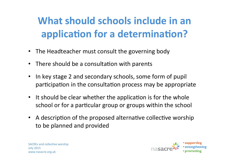#### **What should schools include in an application for a determination?**

- The Headteacher must consult the governing body
- There should be a consultation with parents
- In key stage 2 and secondary schools, some form of pupil participation in the consultation process may be appropriate
- It should be clear whether the application is for the whole school or for a particular group or groups within the school
- A description of the proposed alternative collective worship to be planned and provided

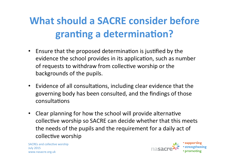#### **What should a SACRE consider before granting a determination?**

- Ensure that the proposed determination is justified by the evidence the school provides in its application, such as number of requests to withdraw from collective worship or the backgrounds of the pupils.
- Evidence of all consultations, including clear evidence that the governing body has been consulted, and the findings of those consultations
- Clear planning for how the school will provide alternative collective worship so SACRE can decide whether that this meets the needs of the pupils and the requirement for a daily act of collective worship